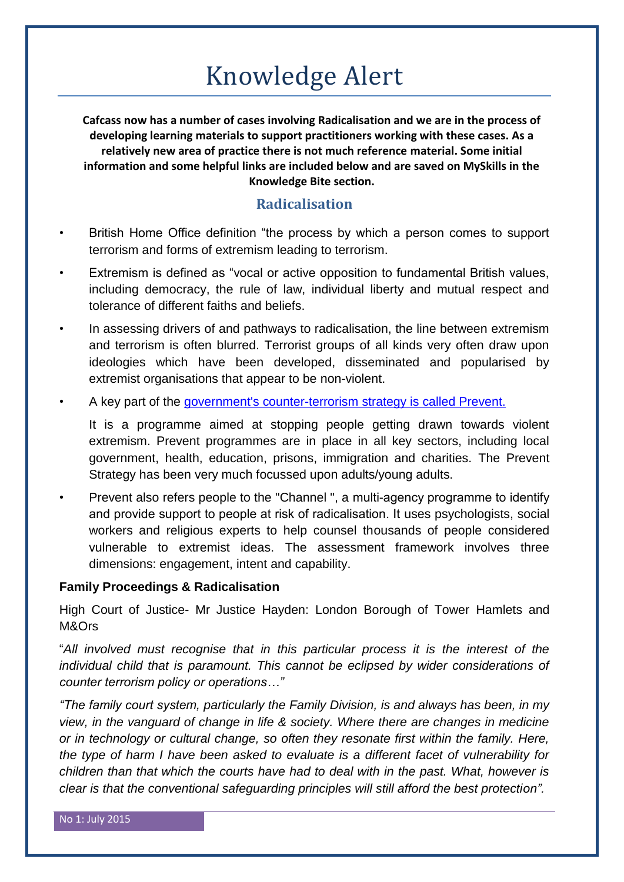# Knowledge Alert

**Cafcass now has a number of cases involving Radicalisation and we are in the process of developing learning materials to support practitioners working with these cases. As a relatively new area of practice there is not much reference material. Some initial information and some helpful links are included below and are saved on MySkills in the Knowledge Bite section.**

# **Radicalisation**

- British Home Office definition "the process by which a person comes to support terrorism and forms of extremism leading to terrorism.
- Extremism is defined as "vocal or active opposition to fundamental British values, including democracy, the rule of law, individual liberty and mutual respect and tolerance of different faiths and beliefs.
- In assessing drivers of and pathways to radicalisation, the line between extremism and terrorism is often blurred. Terrorist groups of all kinds very often draw upon ideologies which have been developed, disseminated and popularised by extremist organisations that appear to be non-violent.
- A key part of the [government's counter-terrorism strategy is called Prevent.](https://www.gov.uk/government/policies/protecting-the-uk-against-terrorism/supporting-pages/prevent)

It is a programme aimed at stopping people getting drawn towards violent extremism. Prevent programmes are in place in all key sectors, including local government, health, education, prisons, immigration and charities. The Prevent Strategy has been very much focussed upon adults/young adults.

• Prevent also refers people to the "Channel ", a multi-agency programme to identify and provide support to people at risk of radicalisation. It uses psychologists, social workers and religious experts to help counsel thousands of people considered vulnerable to extremist ideas. The assessment framework involves three dimensions: engagement, intent and capability.

# **Family Proceedings & Radicalisation**

High Court of Justice- Mr Justice Hayden: London Borough of Tower Hamlets and M&Ors

"*All involved must recognise that in this particular process it is the interest of the*  individual child that is paramount. This cannot be eclipsed by wider considerations of *counter terrorism policy or operations…"*

*"The family court system, particularly the Family Division, is and always has been, in my view, in the vanguard of change in life & society. Where there are changes in medicine or in technology or cultural change, so often they resonate first within the family. Here, the type of harm I have been asked to evaluate is a different facet of vulnerability for children than that which the courts have had to deal with in the past. What, however is clear is that the conventional safeguarding principles will still afford the best protection".*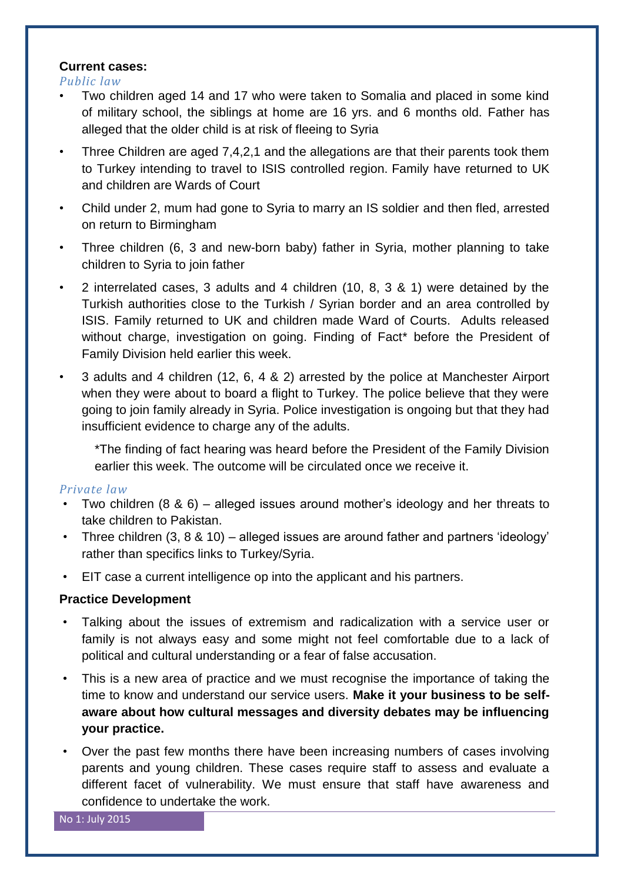# **Current cases:**

*Public law*

- Two children aged 14 and 17 who were taken to Somalia and placed in some kind of military school, the siblings at home are 16 yrs. and 6 months old. Father has alleged that the older child is at risk of fleeing to Syria
- Three Children are aged 7,4,2,1 and the allegations are that their parents took them to Turkey intending to travel to ISIS controlled region. Family have returned to UK and children are Wards of Court
- Child under 2, mum had gone to Syria to marry an IS soldier and then fled, arrested on return to Birmingham
- Three children (6, 3 and new-born baby) father in Syria, mother planning to take children to Syria to join father
- 2 interrelated cases, 3 adults and 4 children (10, 8, 3 & 1) were detained by the Turkish authorities close to the Turkish / Syrian border and an area controlled by ISIS. Family returned to UK and children made Ward of Courts. Adults released without charge, investigation on going. Finding of Fact\* before the President of Family Division held earlier this week.
- 3 adults and 4 children (12, 6, 4 & 2) arrested by the police at Manchester Airport when they were about to board a flight to Turkey. The police believe that they were going to join family already in Syria. Police investigation is ongoing but that they had insufficient evidence to charge any of the adults.

\*The finding of fact hearing was heard before the President of the Family Division earlier this week. The outcome will be circulated once we receive it.

# *Private law*

- Two children (8 & 6) alleged issues around mother's ideology and her threats to take children to Pakistan.
- Three children (3, 8 & 10) alleged issues are around father and partners 'ideology' rather than specifics links to Turkey/Syria.
- EIT case a current intelligence op into the applicant and his partners.

# **Practice Development**

- Talking about the issues of extremism and radicalization with a service user or family is not always easy and some might not feel comfortable due to a lack of political and cultural understanding or a fear of false accusation.
- This is a new area of practice and we must recognise the importance of taking the time to know and understand our service users. **Make it your business to be selfaware about how cultural messages and diversity debates may be influencing your practice.**
- Over the past few months there have been increasing numbers of cases involving parents and young children. These cases require staff to assess and evaluate a different facet of vulnerability. We must ensure that staff have awareness and confidence to undertake the work.